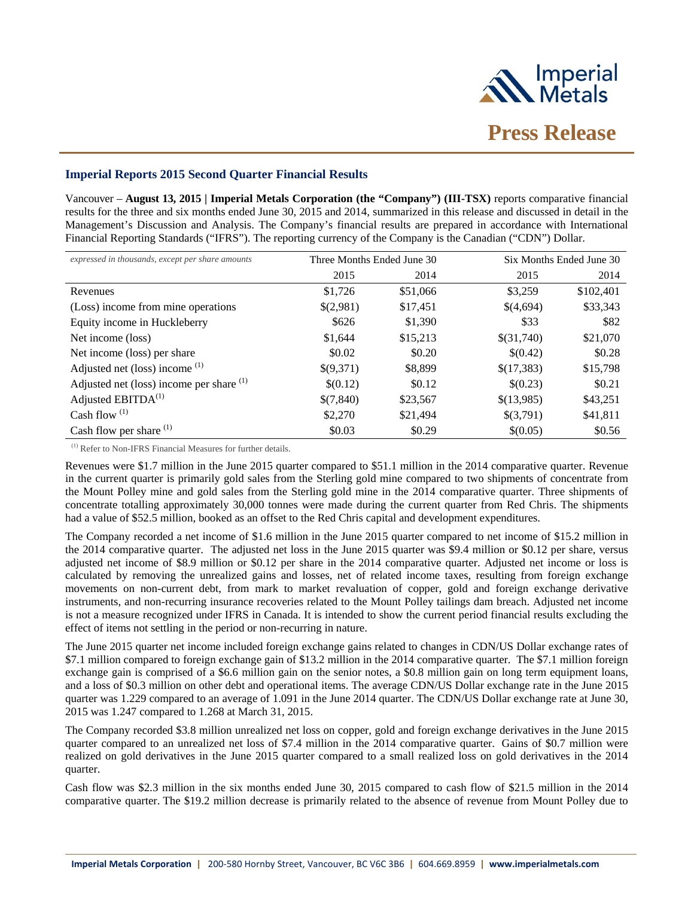

# **Imperial Reports 2015 Second Quarter Financial Results**

Vancouver – **August 13, 2015 | Imperial Metals Corporation (the "Company") (III-TSX)** reports comparative financial results for the three and six months ended June 30, 2015 and 2014, summarized in this release and discussed in detail in the Management's Discussion and Analysis. The Company's financial results are prepared in accordance with International Financial Reporting Standards ("IFRS"). The reporting currency of the Company is the Canadian ("CDN") Dollar.

| expressed in thousands, except per share amounts | Three Months Ended June 30 |          | Six Months Ended June 30 |           |
|--------------------------------------------------|----------------------------|----------|--------------------------|-----------|
|                                                  | 2015                       | 2014     | 2015                     | 2014      |
| Revenues                                         | \$1,726                    | \$51,066 | \$3,259                  | \$102,401 |
| (Loss) income from mine operations               | \$(2,981)                  | \$17,451 | \$(4,694)                | \$33,343  |
| Equity income in Huckleberry                     | \$626                      | \$1,390  | \$33                     | \$82      |
| Net income (loss)                                | \$1,644                    | \$15,213 | \$(31,740)               | \$21,070  |
| Net income (loss) per share                      | \$0.02                     | \$0.20   | \$(0.42)                 | \$0.28    |
| Adjusted net (loss) income (1)                   | \$(9,371)                  | \$8,899  | \$(17,383)               | \$15,798  |
| Adjusted net (loss) income per share $(1)$       | \$(0.12)                   | \$0.12   | \$(0.23)                 | \$0.21    |
| Adjusted EBITDA <sup>(1)</sup>                   | \$(7,840)                  | \$23,567 | \$(13,985)               | \$43,251  |
| Cash flow $(1)$                                  | \$2,270                    | \$21,494 | \$(3,791)                | \$41,811  |
| Cash flow per share <sup>(1)</sup>               | \$0.03                     | \$0.29   | \$(0.05)                 | \$0.56    |

(1) Refer to Non-IFRS Financial Measures for further details.

Revenues were \$1.7 million in the June 2015 quarter compared to \$51.1 million in the 2014 comparative quarter. Revenue in the current quarter is primarily gold sales from the Sterling gold mine compared to two shipments of concentrate from the Mount Polley mine and gold sales from the Sterling gold mine in the 2014 comparative quarter. Three shipments of concentrate totalling approximately 30,000 tonnes were made during the current quarter from Red Chris. The shipments had a value of \$52.5 million, booked as an offset to the Red Chris capital and development expenditures.

The Company recorded a net income of \$1.6 million in the June 2015 quarter compared to net income of \$15.2 million in the 2014 comparative quarter. The adjusted net loss in the June 2015 quarter was \$9.4 million or \$0.12 per share, versus adjusted net income of \$8.9 million or \$0.12 per share in the 2014 comparative quarter. Adjusted net income or loss is calculated by removing the unrealized gains and losses, net of related income taxes, resulting from foreign exchange movements on non-current debt, from mark to market revaluation of copper, gold and foreign exchange derivative instruments, and non-recurring insurance recoveries related to the Mount Polley tailings dam breach. Adjusted net income is not a measure recognized under IFRS in Canada. It is intended to show the current period financial results excluding the effect of items not settling in the period or non-recurring in nature.

The June 2015 quarter net income included foreign exchange gains related to changes in CDN/US Dollar exchange rates of \$7.1 million compared to foreign exchange gain of \$13.2 million in the 2014 comparative quarter. The \$7.1 million foreign exchange gain is comprised of a \$6.6 million gain on the senior notes, a \$0.8 million gain on long term equipment loans, and a loss of \$0.3 million on other debt and operational items. The average CDN/US Dollar exchange rate in the June 2015 quarter was 1.229 compared to an average of 1.091 in the June 2014 quarter. The CDN/US Dollar exchange rate at June 30, 2015 was 1.247 compared to 1.268 at March 31, 2015.

The Company recorded \$3.8 million unrealized net loss on copper, gold and foreign exchange derivatives in the June 2015 quarter compared to an unrealized net loss of \$7.4 million in the 2014 comparative quarter. Gains of \$0.7 million were realized on gold derivatives in the June 2015 quarter compared to a small realized loss on gold derivatives in the 2014 quarter.

Cash flow was \$2.3 million in the six months ended June 30, 2015 compared to cash flow of \$21.5 million in the 2014 comparative quarter. The \$19.2 million decrease is primarily related to the absence of revenue from Mount Polley due to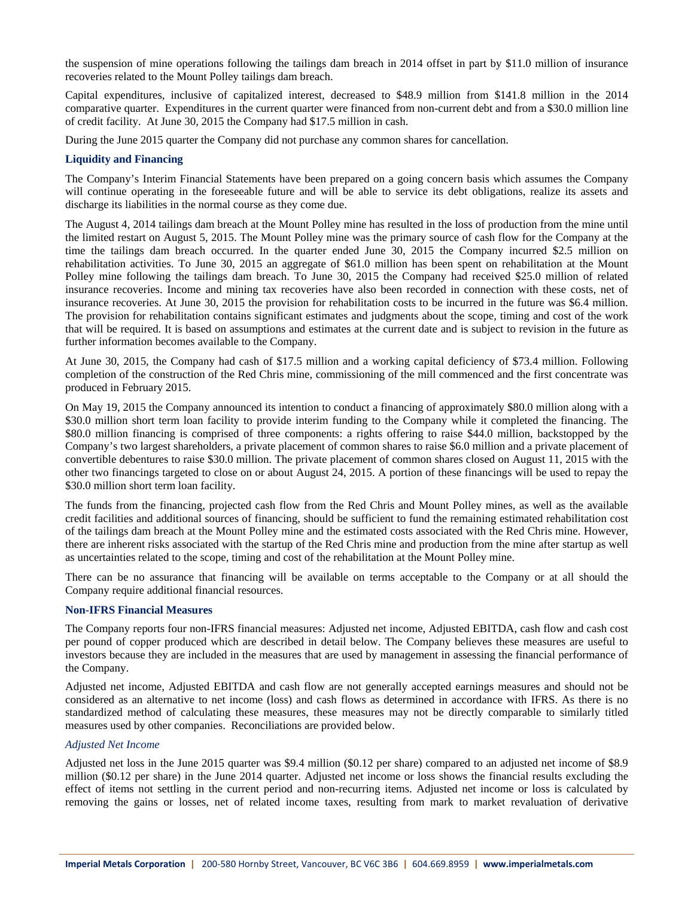the suspension of mine operations following the tailings dam breach in 2014 offset in part by \$11.0 million of insurance recoveries related to the Mount Polley tailings dam breach.

Capital expenditures, inclusive of capitalized interest, decreased to \$48.9 million from \$141.8 million in the 2014 comparative quarter. Expenditures in the current quarter were financed from non-current debt and from a \$30.0 million line of credit facility. At June 30, 2015 the Company had \$17.5 million in cash.

During the June 2015 quarter the Company did not purchase any common shares for cancellation.

# **Liquidity and Financing**

The Company's Interim Financial Statements have been prepared on a going concern basis which assumes the Company will continue operating in the foreseeable future and will be able to service its debt obligations, realize its assets and discharge its liabilities in the normal course as they come due.

The August 4, 2014 tailings dam breach at the Mount Polley mine has resulted in the loss of production from the mine until the limited restart on August 5, 2015. The Mount Polley mine was the primary source of cash flow for the Company at the time the tailings dam breach occurred. In the quarter ended June 30, 2015 the Company incurred \$2.5 million on rehabilitation activities. To June 30, 2015 an aggregate of \$61.0 million has been spent on rehabilitation at the Mount Polley mine following the tailings dam breach. To June 30, 2015 the Company had received \$25.0 million of related insurance recoveries. Income and mining tax recoveries have also been recorded in connection with these costs, net of insurance recoveries. At June 30, 2015 the provision for rehabilitation costs to be incurred in the future was \$6.4 million. The provision for rehabilitation contains significant estimates and judgments about the scope, timing and cost of the work that will be required. It is based on assumptions and estimates at the current date and is subject to revision in the future as further information becomes available to the Company.

At June 30, 2015, the Company had cash of \$17.5 million and a working capital deficiency of \$73.4 million. Following completion of the construction of the Red Chris mine, commissioning of the mill commenced and the first concentrate was produced in February 2015.

On May 19, 2015 the Company announced its intention to conduct a financing of approximately \$80.0 million along with a \$30.0 million short term loan facility to provide interim funding to the Company while it completed the financing. The \$80.0 million financing is comprised of three components: a rights offering to raise \$44.0 million, backstopped by the Company's two largest shareholders, a private placement of common shares to raise \$6.0 million and a private placement of convertible debentures to raise \$30.0 million. The private placement of common shares closed on August 11, 2015 with the other two financings targeted to close on or about August 24, 2015. A portion of these financings will be used to repay the \$30.0 million short term loan facility.

The funds from the financing, projected cash flow from the Red Chris and Mount Polley mines, as well as the available credit facilities and additional sources of financing, should be sufficient to fund the remaining estimated rehabilitation cost of the tailings dam breach at the Mount Polley mine and the estimated costs associated with the Red Chris mine. However, there are inherent risks associated with the startup of the Red Chris mine and production from the mine after startup as well as uncertainties related to the scope, timing and cost of the rehabilitation at the Mount Polley mine.

There can be no assurance that financing will be available on terms acceptable to the Company or at all should the Company require additional financial resources.

# **Non-IFRS Financial Measures**

The Company reports four non-IFRS financial measures: Adjusted net income, Adjusted EBITDA, cash flow and cash cost per pound of copper produced which are described in detail below. The Company believes these measures are useful to investors because they are included in the measures that are used by management in assessing the financial performance of the Company.

Adjusted net income, Adjusted EBITDA and cash flow are not generally accepted earnings measures and should not be considered as an alternative to net income (loss) and cash flows as determined in accordance with IFRS. As there is no standardized method of calculating these measures, these measures may not be directly comparable to similarly titled measures used by other companies. Reconciliations are provided below.

### *Adjusted Net Income*

Adjusted net loss in the June 2015 quarter was \$9.4 million (\$0.12 per share) compared to an adjusted net income of \$8.9 million (\$0.12 per share) in the June 2014 quarter. Adjusted net income or loss shows the financial results excluding the effect of items not settling in the current period and non-recurring items. Adjusted net income or loss is calculated by removing the gains or losses, net of related income taxes, resulting from mark to market revaluation of derivative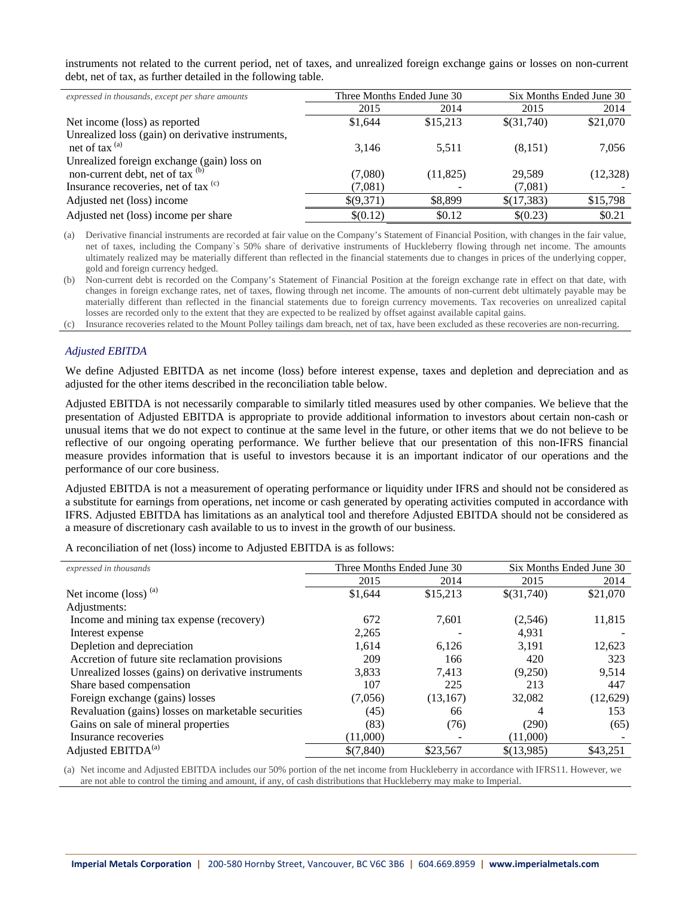instruments not related to the current period, net of taxes, and unrealized foreign exchange gains or losses on non-current debt, net of tax, as further detailed in the following table.

| expressed in thousands, except per share amounts  | Three Months Ended June 30 |           | Six Months Ended June 30 |           |
|---------------------------------------------------|----------------------------|-----------|--------------------------|-----------|
|                                                   | 2015                       | 2014      | 2015                     | 2014      |
| Net income (loss) as reported                     | \$1,644                    | \$15,213  | \$(31,740)               | \$21,070  |
| Unrealized loss (gain) on derivative instruments, |                            |           |                          |           |
| net of tax $^{(a)}$                               | 3,146                      | 5.511     | (8,151)                  | 7,056     |
| Unrealized foreign exchange (gain) loss on        |                            |           |                          |           |
| non-current debt, net of tax $(b)$                | (7,080)                    | (11, 825) | 29.589                   | (12, 328) |
| Insurance recoveries, net of tax (c)              | (7,081)                    |           | (7,081)                  |           |
| Adjusted net (loss) income                        | \$(9,371)                  | \$8,899   | \$(17,383)               | \$15,798  |
| Adjusted net (loss) income per share              | \$(0.12)                   | \$0.12    | \$(0.23)                 | \$0.21    |

(a) Derivative financial instruments are recorded at fair value on the Company's Statement of Financial Position, with changes in the fair value, net of taxes, including the Company`s 50% share of derivative instruments of Huckleberry flowing through net income. The amounts ultimately realized may be materially different than reflected in the financial statements due to changes in prices of the underlying copper, gold and foreign currency hedged.

(b) Non-current debt is recorded on the Company's Statement of Financial Position at the foreign exchange rate in effect on that date, with changes in foreign exchange rates, net of taxes, flowing through net income. The amounts of non-current debt ultimately payable may be materially different than reflected in the financial statements due to foreign currency movements. Tax recoveries on unrealized capital losses are recorded only to the extent that they are expected to be realized by offset against available capital gains.

(c) Insurance recoveries related to the Mount Polley tailings dam breach, net of tax, have been excluded as these recoveries are non-recurring.

### *Adjusted EBITDA*

We define Adjusted EBITDA as net income (loss) before interest expense, taxes and depletion and depreciation and as adjusted for the other items described in the reconciliation table below.

Adjusted EBITDA is not necessarily comparable to similarly titled measures used by other companies. We believe that the presentation of Adjusted EBITDA is appropriate to provide additional information to investors about certain non-cash or unusual items that we do not expect to continue at the same level in the future, or other items that we do not believe to be reflective of our ongoing operating performance. We further believe that our presentation of this non-IFRS financial measure provides information that is useful to investors because it is an important indicator of our operations and the performance of our core business.

Adjusted EBITDA is not a measurement of operating performance or liquidity under IFRS and should not be considered as a substitute for earnings from operations, net income or cash generated by operating activities computed in accordance with IFRS. Adjusted EBITDA has limitations as an analytical tool and therefore Adjusted EBITDA should not be considered as a measure of discretionary cash available to us to invest in the growth of our business.

A reconciliation of net (loss) income to Adjusted EBITDA is as follows:

| expressed in thousands                              | Three Months Ended June 30 |           | Six Months Ended June 30 |          |
|-----------------------------------------------------|----------------------------|-----------|--------------------------|----------|
|                                                     | 2015                       | 2014      | 2015                     | 2014     |
| Net income (loss) <sup>(a)</sup>                    | \$1,644                    | \$15,213  | \$(31,740)               | \$21,070 |
| Adjustments:                                        |                            |           |                          |          |
| Income and mining tax expense (recovery)            | 672                        | 7,601     | (2,546)                  | 11,815   |
| Interest expense                                    | 2,265                      |           | 4,931                    |          |
| Depletion and depreciation                          | 1.614                      | 6,126     | 3.191                    | 12,623   |
| Accretion of future site reclamation provisions     | 209                        | 166       | 420                      | 323      |
| Unrealized losses (gains) on derivative instruments | 3,833                      | 7.413     | (9,250)                  | 9,514    |
| Share based compensation                            | 107                        | 225       | 213                      | 447      |
| Foreign exchange (gains) losses                     | (7,056)                    | (13, 167) | 32,082                   | (12,629) |
| Revaluation (gains) losses on marketable securities | (45)                       | 66        | 4                        | 153      |
| Gains on sale of mineral properties                 | (83)                       | (76)      | (290)                    | (65)     |
| Insurance recoveries                                | (11,000)                   |           | (11,000)                 |          |
| Adjusted EBITDA <sup>(a)</sup>                      | \$(7,840)                  | \$23,567  | \$(13,985)               | \$43,251 |

(a) Net income and Adjusted EBITDA includes our 50% portion of the net income from Huckleberry in accordance with IFRS11. However, we are not able to control the timing and amount, if any, of cash distributions that Huckleberry may make to Imperial.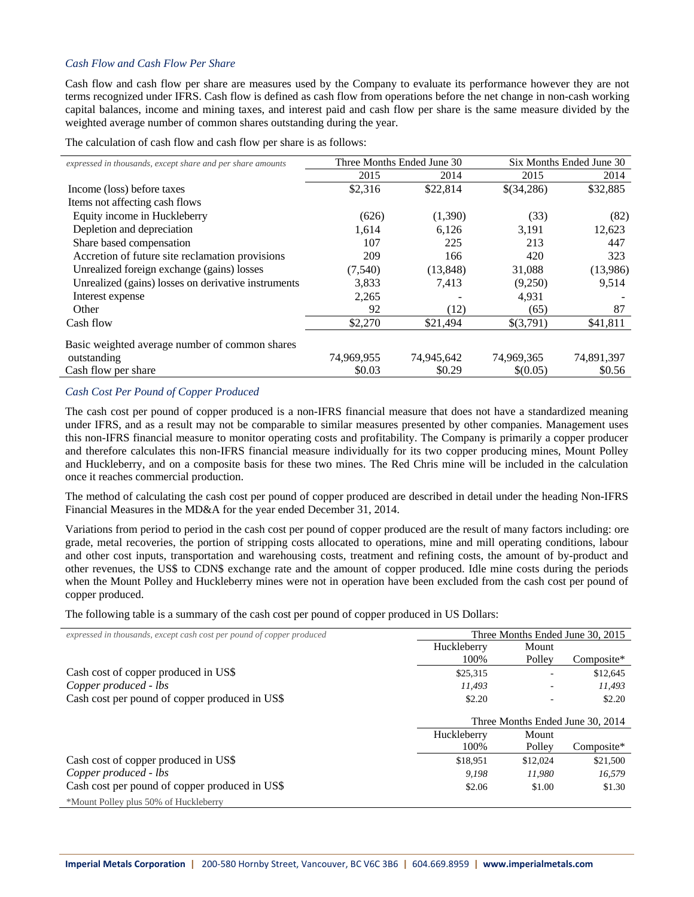# *Cash Flow and Cash Flow Per Share*

Cash flow and cash flow per share are measures used by the Company to evaluate its performance however they are not terms recognized under IFRS. Cash flow is defined as cash flow from operations before the net change in non-cash working capital balances, income and mining taxes, and interest paid and cash flow per share is the same measure divided by the weighted average number of common shares outstanding during the year.

The calculation of cash flow and cash flow per share is as follows:

| expressed in thousands, except share and per share amounts |            | Three Months Ended June 30 | Six Months Ended June 30 |            |  |
|------------------------------------------------------------|------------|----------------------------|--------------------------|------------|--|
|                                                            | 2015       | 2014                       | 2015                     | 2014       |  |
| Income (loss) before taxes                                 | \$2,316    | \$22,814                   | \$(34,286)               | \$32,885   |  |
| Items not affecting cash flows                             |            |                            |                          |            |  |
| Equity income in Huckleberry                               | (626)      | (1,390)                    | (33)                     | (82)       |  |
| Depletion and depreciation                                 | 1.614      | 6,126                      | 3,191                    | 12,623     |  |
| Share based compensation                                   | 107        | 225                        | 213                      | 447        |  |
| Accretion of future site reclamation provisions            | 209        | 166                        | 420                      | 323        |  |
| Unrealized foreign exchange (gains) losses                 | (7,540)    | (13, 848)                  | 31,088                   | (13,986)   |  |
| Unrealized (gains) losses on derivative instruments        | 3,833      | 7.413                      | (9,250)                  | 9,514      |  |
| Interest expense                                           | 2,265      |                            | 4,931                    |            |  |
| Other                                                      | 92         | (12)                       | (65)                     | 87         |  |
| Cash flow                                                  | \$2,270    | \$21,494                   | \$(3,791)                | \$41,811   |  |
| Basic weighted average number of common shares             |            |                            |                          |            |  |
| outstanding                                                | 74,969,955 | 74,945,642                 | 74,969,365               | 74,891,397 |  |
| Cash flow per share                                        | \$0.03     | \$0.29                     | \$(0.05)                 | \$0.56     |  |

# *Cash Cost Per Pound of Copper Produced*

The cash cost per pound of copper produced is a non-IFRS financial measure that does not have a standardized meaning under IFRS, and as a result may not be comparable to similar measures presented by other companies. Management uses this non-IFRS financial measure to monitor operating costs and profitability. The Company is primarily a copper producer and therefore calculates this non-IFRS financial measure individually for its two copper producing mines, Mount Polley and Huckleberry, and on a composite basis for these two mines. The Red Chris mine will be included in the calculation once it reaches commercial production.

The method of calculating the cash cost per pound of copper produced are described in detail under the heading Non-IFRS Financial Measures in the MD&A for the year ended December 31, 2014.

Variations from period to period in the cash cost per pound of copper produced are the result of many factors including: ore grade, metal recoveries, the portion of stripping costs allocated to operations, mine and mill operating conditions, labour and other cost inputs, transportation and warehousing costs, treatment and refining costs, the amount of by-product and other revenues, the US\$ to CDN\$ exchange rate and the amount of copper produced. Idle mine costs during the periods when the Mount Polley and Huckleberry mines were not in operation have been excluded from the cash cost per pound of copper produced.

The following table is a summary of the cash cost per pound of copper produced in US Dollars:

| expressed in thousands, except cash cost per pound of copper produced | Three Months Ended June 30, 2015 |                                  |            |
|-----------------------------------------------------------------------|----------------------------------|----------------------------------|------------|
|                                                                       | Huckleberry                      | Mount                            |            |
|                                                                       | 100%                             | Polley                           | Composite* |
| Cash cost of copper produced in US\$                                  | \$25,315                         | ٠                                | \$12,645   |
| Copper produced - lbs                                                 | 11.493                           |                                  | 11,493     |
| Cash cost per pound of copper produced in US\$                        | \$2.20                           |                                  | \$2.20     |
|                                                                       |                                  | Three Months Ended June 30, 2014 |            |
|                                                                       | Huckleberry                      | Mount                            |            |
|                                                                       | 100%                             | Polley                           | Composite* |
| Cash cost of copper produced in US\$                                  | \$18.951                         | \$12,024                         | \$21,500   |
| Copper produced - lbs                                                 | 9.198                            | 11.980                           | 16,579     |
| Cash cost per pound of copper produced in US\$                        | \$2.06                           | \$1.00                           | \$1.30     |
| *Mount Polley plus 50% of Huckleberry                                 |                                  |                                  |            |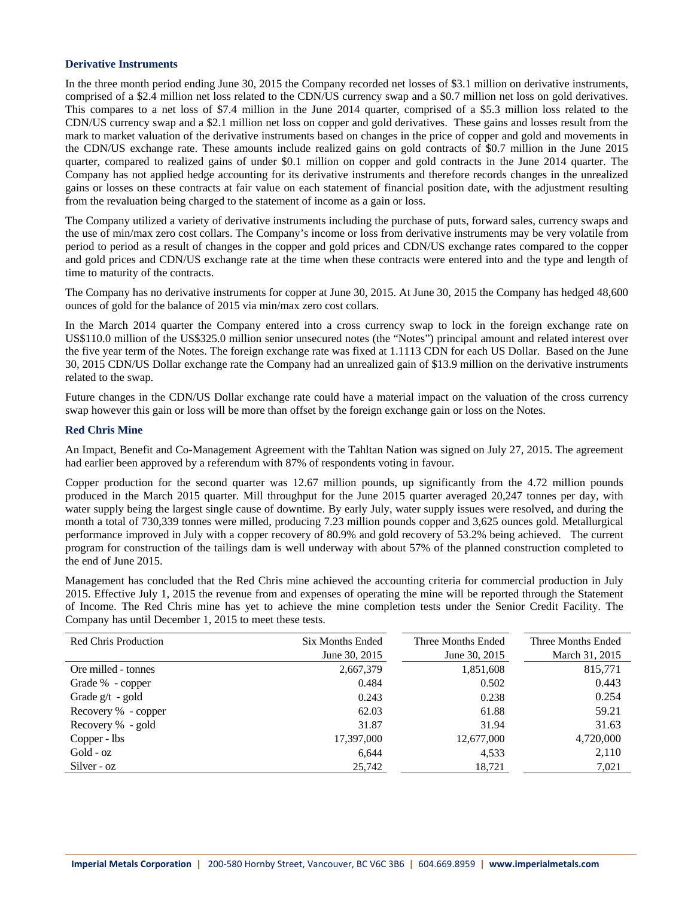#### **Derivative Instruments**

In the three month period ending June 30, 2015 the Company recorded net losses of \$3.1 million on derivative instruments, comprised of a \$2.4 million net loss related to the CDN/US currency swap and a \$0.7 million net loss on gold derivatives. This compares to a net loss of \$7.4 million in the June 2014 quarter, comprised of a \$5.3 million loss related to the CDN/US currency swap and a \$2.1 million net loss on copper and gold derivatives. These gains and losses result from the mark to market valuation of the derivative instruments based on changes in the price of copper and gold and movements in the CDN/US exchange rate. These amounts include realized gains on gold contracts of \$0.7 million in the June 2015 quarter, compared to realized gains of under \$0.1 million on copper and gold contracts in the June 2014 quarter. The Company has not applied hedge accounting for its derivative instruments and therefore records changes in the unrealized gains or losses on these contracts at fair value on each statement of financial position date, with the adjustment resulting from the revaluation being charged to the statement of income as a gain or loss.

The Company utilized a variety of derivative instruments including the purchase of puts, forward sales, currency swaps and the use of min/max zero cost collars. The Company's income or loss from derivative instruments may be very volatile from period to period as a result of changes in the copper and gold prices and CDN/US exchange rates compared to the copper and gold prices and CDN/US exchange rate at the time when these contracts were entered into and the type and length of time to maturity of the contracts.

The Company has no derivative instruments for copper at June 30, 2015. At June 30, 2015 the Company has hedged 48,600 ounces of gold for the balance of 2015 via min/max zero cost collars.

In the March 2014 quarter the Company entered into a cross currency swap to lock in the foreign exchange rate on US\$110.0 million of the US\$325.0 million senior unsecured notes (the "Notes") principal amount and related interest over the five year term of the Notes. The foreign exchange rate was fixed at 1.1113 CDN for each US Dollar. Based on the June 30, 2015 CDN/US Dollar exchange rate the Company had an unrealized gain of \$13.9 million on the derivative instruments related to the swap.

Future changes in the CDN/US Dollar exchange rate could have a material impact on the valuation of the cross currency swap however this gain or loss will be more than offset by the foreign exchange gain or loss on the Notes.

### **Red Chris Mine**

An Impact, Benefit and Co-Management Agreement with the Tahltan Nation was signed on July 27, 2015. The agreement had earlier been approved by a referendum with 87% of respondents voting in favour.

Copper production for the second quarter was 12.67 million pounds, up significantly from the 4.72 million pounds produced in the March 2015 quarter. Mill throughput for the June 2015 quarter averaged 20,247 tonnes per day, with water supply being the largest single cause of downtime. By early July, water supply issues were resolved, and during the month a total of 730,339 tonnes were milled, producing 7.23 million pounds copper and 3,625 ounces gold. Metallurgical performance improved in July with a copper recovery of 80.9% and gold recovery of 53.2% being achieved. The current program for construction of the tailings dam is well underway with about 57% of the planned construction completed to the end of June 2015.

Management has concluded that the Red Chris mine achieved the accounting criteria for commercial production in July 2015. Effective July 1, 2015 the revenue from and expenses of operating the mine will be reported through the Statement of Income. The Red Chris mine has yet to achieve the mine completion tests under the Senior Credit Facility. The Company has until December 1, 2015 to meet these tests.

| <b>Red Chris Production</b> | Six Months Ended<br>June 30, 2015 | Three Months Ended<br>June 30, 2015 | Three Months Ended<br>March 31, 2015 |
|-----------------------------|-----------------------------------|-------------------------------------|--------------------------------------|
| Ore milled - tonnes         | 2,667,379                         | 1,851,608                           | 815,771                              |
| Grade % - copper            | 0.484                             | 0.502                               | 0.443                                |
| Grade $g/t - gold$          | 0.243                             | 0.238                               | 0.254                                |
| Recovery % - copper         | 62.03                             | 61.88                               | 59.21                                |
| Recovery % - gold           | 31.87                             | 31.94                               | 31.63                                |
| Copper - lbs                | 17,397,000                        | 12,677,000                          | 4,720,000                            |
| $Gold - oz$                 | 6,644                             | 4,533                               | 2,110                                |
| Silver - oz                 | 25,742                            | 18,721                              | 7,021                                |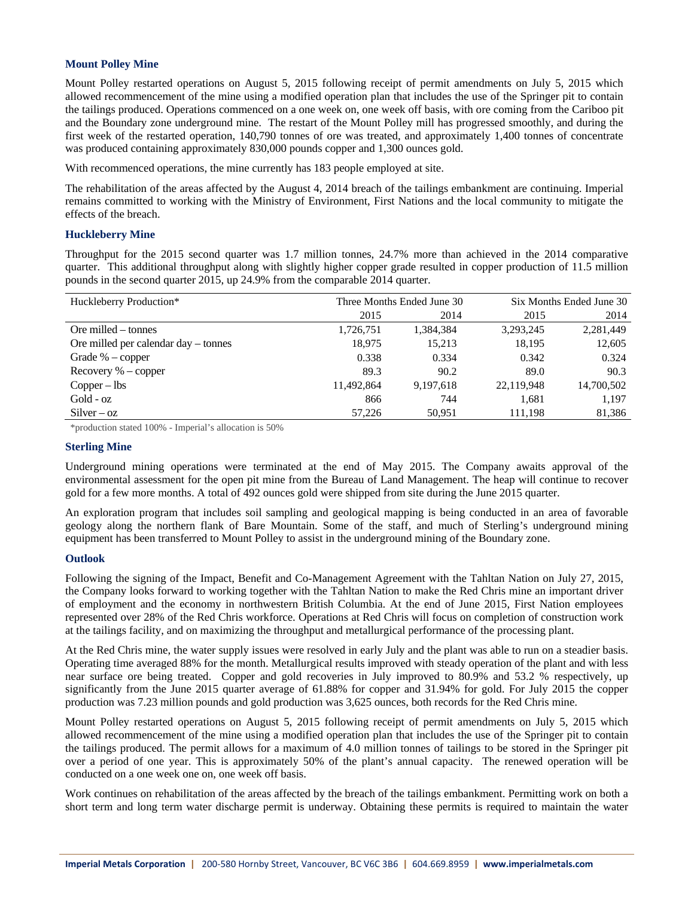### **Mount Polley Mine**

Mount Polley restarted operations on August 5, 2015 following receipt of permit amendments on July 5, 2015 which allowed recommencement of the mine using a modified operation plan that includes the use of the Springer pit to contain the tailings produced. Operations commenced on a one week on, one week off basis, with ore coming from the Cariboo pit and the Boundary zone underground mine. The restart of the Mount Polley mill has progressed smoothly, and during the first week of the restarted operation, 140,790 tonnes of ore was treated, and approximately 1,400 tonnes of concentrate was produced containing approximately 830,000 pounds copper and 1,300 ounces gold.

With recommenced operations, the mine currently has 183 people employed at site.

The rehabilitation of the areas affected by the August 4, 2014 breach of the tailings embankment are continuing. Imperial remains committed to working with the Ministry of Environment, First Nations and the local community to mitigate the effects of the breach.

### **Huckleberry Mine**

Throughput for the 2015 second quarter was 1.7 million tonnes, 24.7% more than achieved in the 2014 comparative quarter. This additional throughput along with slightly higher copper grade resulted in copper production of 11.5 million pounds in the second quarter 2015, up 24.9% from the comparable 2014 quarter.

| Huckleberry Production*              | Three Months Ended June 30 |           |            | Six Months Ended June 30 |  |
|--------------------------------------|----------------------------|-----------|------------|--------------------------|--|
|                                      | 2015                       | 2014      | 2015       | 2014                     |  |
| Ore milled – tonnes                  | 1,726,751                  | 1,384,384 | 3,293,245  | 2,281,449                |  |
| Ore milled per calendar day – tonnes | 18.975                     | 15,213    | 18,195     | 12,605                   |  |
| Grade $% -$ copper                   | 0.338                      | 0.334     | 0.342      | 0.324                    |  |
| Recovery $% -$ copper                | 89.3                       | 90.2      | 89.0       | 90.3                     |  |
| $Copper - lbs$                       | 11.492.864                 | 9.197.618 | 22,119,948 | 14,700,502               |  |
| Gold - oz                            | 866                        | 744       | 1,681      | 1.197                    |  |
| $Silver-oz$                          | 57.226                     | 50,951    | 111,198    | 81,386                   |  |

\*production stated 100% - Imperial's allocation is 50%

#### **Sterling Mine**

Underground mining operations were terminated at the end of May 2015. The Company awaits approval of the environmental assessment for the open pit mine from the Bureau of Land Management. The heap will continue to recover gold for a few more months. A total of 492 ounces gold were shipped from site during the June 2015 quarter.

An exploration program that includes soil sampling and geological mapping is being conducted in an area of favorable geology along the northern flank of Bare Mountain. Some of the staff, and much of Sterling's underground mining equipment has been transferred to Mount Polley to assist in the underground mining of the Boundary zone.

### **Outlook**

Following the signing of the Impact, Benefit and Co-Management Agreement with the Tahltan Nation on July 27, 2015, the Company looks forward to working together with the Tahltan Nation to make the Red Chris mine an important driver of employment and the economy in northwestern British Columbia. At the end of June 2015, First Nation employees represented over 28% of the Red Chris workforce. Operations at Red Chris will focus on completion of construction work at the tailings facility, and on maximizing the throughput and metallurgical performance of the processing plant.

At the Red Chris mine, the water supply issues were resolved in early July and the plant was able to run on a steadier basis. Operating time averaged 88% for the month. Metallurgical results improved with steady operation of the plant and with less near surface ore being treated. Copper and gold recoveries in July improved to 80.9% and 53.2 % respectively, up significantly from the June 2015 quarter average of 61.88% for copper and 31.94% for gold. For July 2015 the copper production was 7.23 million pounds and gold production was 3,625 ounces, both records for the Red Chris mine.

Mount Polley restarted operations on August 5, 2015 following receipt of permit amendments on July 5, 2015 which allowed recommencement of the mine using a modified operation plan that includes the use of the Springer pit to contain the tailings produced. The permit allows for a maximum of 4.0 million tonnes of tailings to be stored in the Springer pit over a period of one year. This is approximately 50% of the plant's annual capacity. The renewed operation will be conducted on a one week one on, one week off basis.

Work continues on rehabilitation of the areas affected by the breach of the tailings embankment. Permitting work on both a short term and long term water discharge permit is underway. Obtaining these permits is required to maintain the water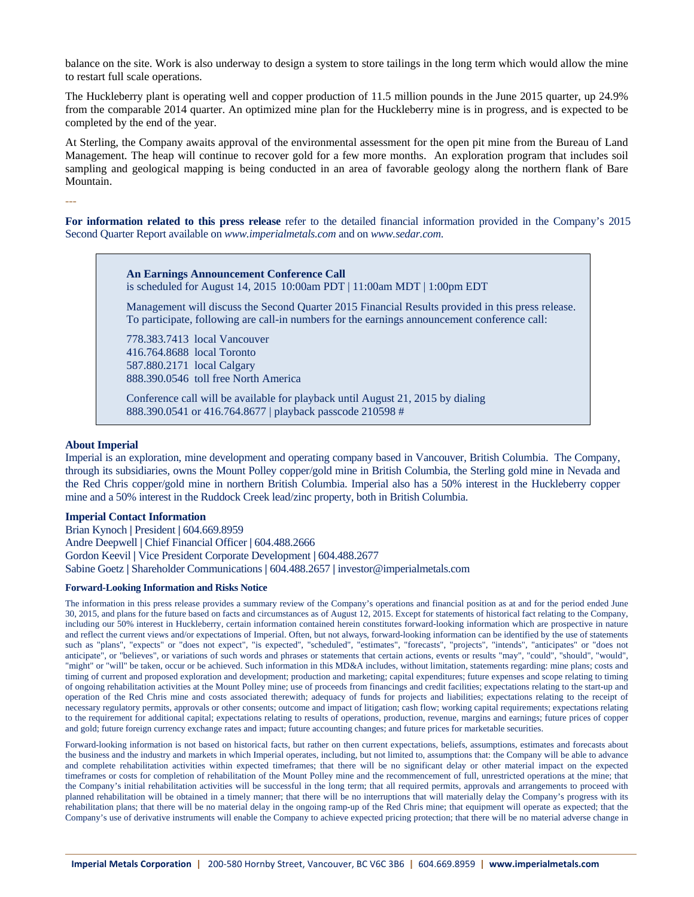balance on the site. Work is also underway to design a system to store tailings in the long term which would allow the mine to restart full scale operations.

The Huckleberry plant is operating well and copper production of 11.5 million pounds in the June 2015 quarter, up 24.9% from the comparable 2014 quarter. An optimized mine plan for the Huckleberry mine is in progress, and is expected to be completed by the end of the year.

At Sterling, the Company awaits approval of the environmental assessment for the open pit mine from the Bureau of Land Management. The heap will continue to recover gold for a few more months. An exploration program that includes soil sampling and geological mapping is being conducted in an area of favorable geology along the northern flank of Bare Mountain.

**For information related to this press release** refer to the detailed financial information provided in the Company's 2015 Second Quarter Report available on *www.imperialmetals.com* and on *www.sedar.com*.

> **An Earnings Announcement Conference Call**  is scheduled for August 14, 201510:00am PDT | 11:00am MDT | 1:00pm EDT

Management will discuss the Second Quarter 2015 Financial Results provided in this press release. To participate, following are call-in numbers for the earnings announcement conference call:

778.383.7413 local Vancouver 416.764.8688 local Toronto 587.880.2171 local Calgary 888.390.0546 toll free North America

Conference call will be available for playback until August 21, 2015 by dialing 888.390.0541 or 416.764.8677 | playback passcode 210598 #

#### **About Imperial**

---

Imperial is an exploration, mine development and operating company based in Vancouver, British Columbia. The Company, through its subsidiaries, owns the Mount Polley copper/gold mine in British Columbia, the Sterling gold mine in Nevada and the Red Chris copper/gold mine in northern British Columbia. Imperial also has a 50% interest in the Huckleberry copper mine and a 50% interest in the Ruddock Creek lead/zinc property, both in British Columbia.

#### **Imperial Contact Information**

Brian Kynoch **|** President **|** 604.669.8959 Andre Deepwell **|** Chief Financial Officer **|** 604.488.2666 Gordon Keevil **|** Vice President Corporate Development **|** 604.488.2677 Sabine Goetz **|** Shareholder Communications **|** 604.488.2657 **|** investor@imperialmetals.com

#### **Forward-Looking Information and Risks Notice**

The information in this press release provides a summary review of the Company's operations and financial position as at and for the period ended June 30, 2015, and plans for the future based on facts and circumstances as of August 12, 2015. Except for statements of historical fact relating to the Company, including our 50% interest in Huckleberry, certain information contained herein constitutes forward-looking information which are prospective in nature and reflect the current views and/or expectations of Imperial. Often, but not always, forward-looking information can be identified by the use of statements such as "plans", "expects" or "does not expect", "is expected", "scheduled", "estimates", "forecasts", "projects", "intends", "anticipates" or "does not anticipate", or "believes", or variations of such words and phrases or statements that certain actions, events or results "may", "could", "should", "would", "might" or "will" be taken, occur or be achieved. Such information in this MD&A includes, without limitation, statements regarding: mine plans; costs and timing of current and proposed exploration and development; production and marketing; capital expenditures; future expenses and scope relating to timing of ongoing rehabilitation activities at the Mount Polley mine; use of proceeds from financings and credit facilities; expectations relating to the start-up and operation of the Red Chris mine and costs associated therewith; adequacy of funds for projects and liabilities; expectations relating to the receipt of necessary regulatory permits, approvals or other consents; outcome and impact of litigation; cash flow; working capital requirements; expectations relating to the requirement for additional capital; expectations relating to results of operations, production, revenue, margins and earnings; future prices of copper and gold; future foreign currency exchange rates and impact; future accounting changes; and future prices for marketable securities.

Forward-looking information is not based on historical facts, but rather on then current expectations, beliefs, assumptions, estimates and forecasts about the business and the industry and markets in which Imperial operates, including, but not limited to, assumptions that: the Company will be able to advance and complete rehabilitation activities within expected timeframes; that there will be no significant delay or other material impact on the expected timeframes or costs for completion of rehabilitation of the Mount Polley mine and the recommencement of full, unrestricted operations at the mine; that the Company's initial rehabilitation activities will be successful in the long term; that all required permits, approvals and arrangements to proceed with planned rehabilitation will be obtained in a timely manner; that there will be no interruptions that will materially delay the Company's progress with its rehabilitation plans; that there will be no material delay in the ongoing ramp-up of the Red Chris mine; that equipment will operate as expected; that the Company's use of derivative instruments will enable the Company to achieve expected pricing protection; that there will be no material adverse change in